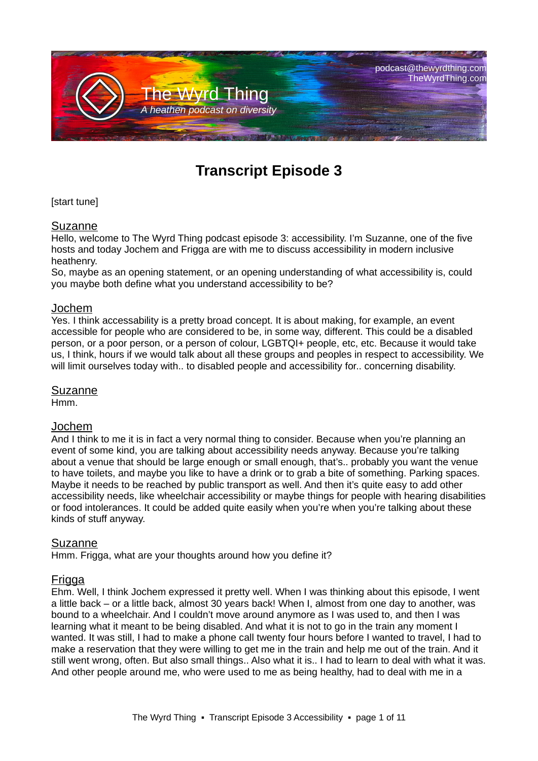

# **Transcript Episode 3**

## [start tune]

## Suzanne

Hello, welcome to The Wyrd Thing podcast episode 3: accessibility. I'm Suzanne, one of the five hosts and today Jochem and Frigga are with me to discuss accessibility in modern inclusive heathenry.

So, maybe as an opening statement, or an opening understanding of what accessibility is, could you maybe both define what you understand accessibility to be?

#### Jochem

Yes. I think accessability is a pretty broad concept. It is about making, for example, an event accessible for people who are considered to be, in some way, different. This could be a disabled person, or a poor person, or a person of colour, LGBTQI+ people, etc, etc. Because it would take us, I think, hours if we would talk about all these groups and peoples in respect to accessibility. We will limit ourselves today with.. to disabled people and accessibility for.. concerning disability.

#### Suzanne

Hmm.

#### Jochem

And I think to me it is in fact a very normal thing to consider. Because when you're planning an event of some kind, you are talking about accessibility needs anyway. Because you're talking about a venue that should be large enough or small enough, that's.. probably you want the venue to have toilets, and maybe you like to have a drink or to grab a bite of something. Parking spaces. Maybe it needs to be reached by public transport as well. And then it's quite easy to add other accessibility needs, like wheelchair accessibility or maybe things for people with hearing disabilities or food intolerances. It could be added quite easily when you're when you're talking about these kinds of stuff anyway.

#### Suzanne

Hmm. Frigga, what are your thoughts around how you define it?

# Frigga

Ehm. Well, I think Jochem expressed it pretty well. When I was thinking about this episode, I went a little back – or a little back, almost 30 years back! When I, almost from one day to another, was bound to a wheelchair. And I couldn't move around anymore as I was used to, and then I was learning what it meant to be being disabled. And what it is not to go in the train any moment I wanted. It was still, I had to make a phone call twenty four hours before I wanted to travel, I had to make a reservation that they were willing to get me in the train and help me out of the train. And it still went wrong, often. But also small things.. Also what it is.. I had to learn to deal with what it was. And other people around me, who were used to me as being healthy, had to deal with me in a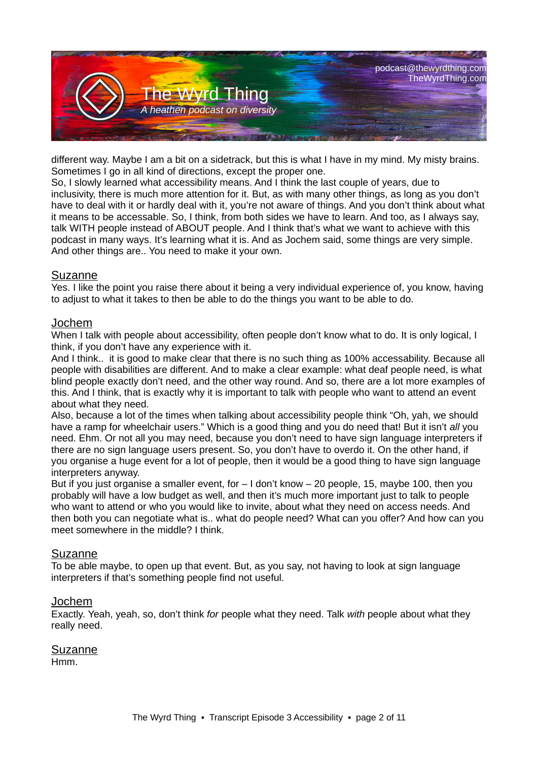

different way. Maybe I am a bit on a sidetrack, but this is what I have in my mind. My misty brains. Sometimes I go in all kind of directions, except the proper one.

So, I slowly learned what accessibility means. And I think the last couple of years, due to inclusivity, there is much more attention for it. But, as with many other things, as long as you don't have to deal with it or hardly deal with it, you're not aware of things. And you don't think about what it means to be accessable. So, I think, from both sides we have to learn. And too, as I always say, talk WITH people instead of ABOUT people. And I think that's what we want to achieve with this podcast in many ways. It's learning what it is. And as Jochem said, some things are very simple. And other things are.. You need to make it your own.

#### Suzanne

Yes. I like the point you raise there about it being a very individual experience of, you know, having to adjust to what it takes to then be able to do the things you want to be able to do.

#### Jochem

When I talk with people about accessibility, often people don't know what to do. It is only logical, I think, if you don't have any experience with it.

And I think.. it is good to make clear that there is no such thing as 100% accessability. Because all people with disabilities are different. And to make a clear example: what deaf people need, is what blind people exactly don't need, and the other way round. And so, there are a lot more examples of this. And I think, that is exactly why it is important to talk with people who want to attend an event about what they need.

Also, because a lot of the times when talking about accessibility people think "Oh, yah, we should have a ramp for wheelchair users." Which is a good thing and you do need that! But it isn't *all* you need. Ehm. Or not all you may need, because you don't need to have sign language interpreters if there are no sign language users present. So, you don't have to overdo it. On the other hand, if you organise a huge event for a lot of people, then it would be a good thing to have sign language interpreters anyway.

But if you just organise a smaller event, for  $-1$  don't know  $-20$  people, 15, maybe 100, then you probably will have a low budget as well, and then it's much more important just to talk to people who want to attend or who you would like to invite, about what they need on access needs. And then both you can negotiate what is.. what do people need? What can you offer? And how can you meet somewhere in the middle? I think.

#### Suzanne

To be able maybe, to open up that event. But, as you say, not having to look at sign language interpreters if that's something people find not useful.

#### Jochem

Exactly. Yeah, yeah, so, don't think *for* people what they need. Talk *with* people about what they really need.

Suzanne Hmm.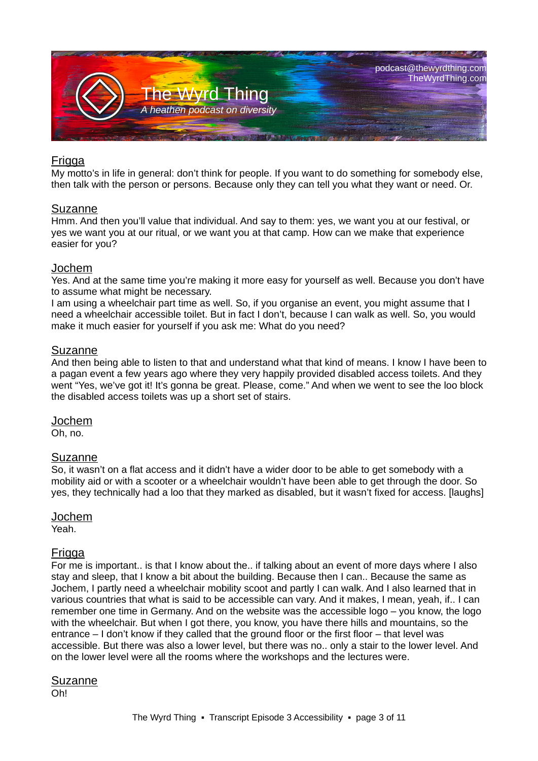

## Frigga

My motto's in life in general: don't think for people. If you want to do something for somebody else, then talk with the person or persons. Because only they can tell you what they want or need. Or.

#### Suzanne

Hmm. And then you'll value that individual. And say to them: yes, we want you at our festival, or yes we want you at our ritual, or we want you at that camp. How can we make that experience easier for you?

#### Jochem

Yes. And at the same time you're making it more easy for yourself as well. Because you don't have to assume what might be necessary.

I am using a wheelchair part time as well. So, if you organise an event, you might assume that I need a wheelchair accessible toilet. But in fact I don't, because I can walk as well. So, you would make it much easier for yourself if you ask me: What do you need?

#### **Suzanne**

And then being able to listen to that and understand what that kind of means. I know I have been to a pagan event a few years ago where they very happily provided disabled access toilets. And they went "Yes, we've got it! It's gonna be great. Please, come." And when we went to see the loo block the disabled access toilets was up a short set of stairs.

#### Jochem

Oh, no.

#### Suzanne

So, it wasn't on a flat access and it didn't have a wider door to be able to get somebody with a mobility aid or with a scooter or a wheelchair wouldn't have been able to get through the door. So yes, they technically had a loo that they marked as disabled, but it wasn't fixed for access. [laughs]

#### Jochem

Yeah.

#### **Frigga**

For me is important.. is that I know about the.. if talking about an event of more days where I also stay and sleep, that I know a bit about the building. Because then I can.. Because the same as Jochem, I partly need a wheelchair mobility scoot and partly I can walk. And I also learned that in various countries that what is said to be accessible can vary. And it makes, I mean, yeah, if.. I can remember one time in Germany. And on the website was the accessible logo – you know, the logo with the wheelchair. But when I got there, you know, you have there hills and mountains, so the entrance – I don't know if they called that the ground floor or the first floor – that level was accessible. But there was also a lower level, but there was no.. only a stair to the lower level. And on the lower level were all the rooms where the workshops and the lectures were.

#### **Suzanne**

Oh!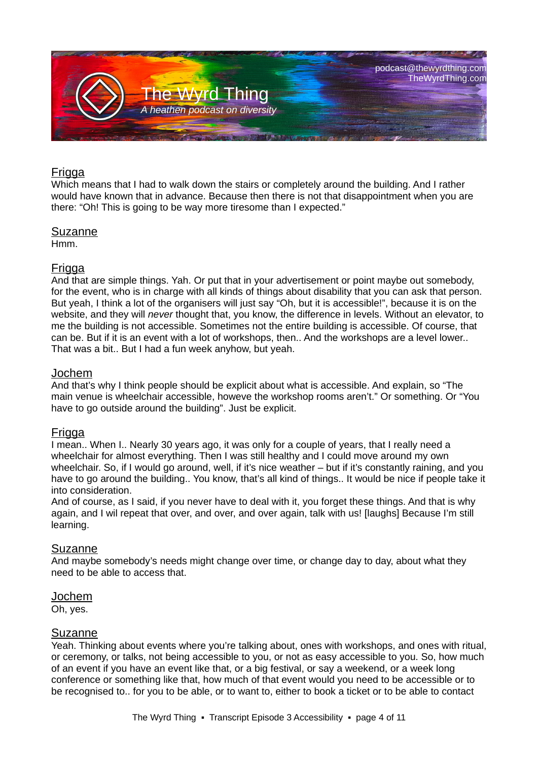

# **Frigga**

Which means that I had to walk down the stairs or completely around the building. And I rather would have known that in advance. Because then there is not that disappointment when you are there: "Oh! This is going to be way more tiresome than I expected."

## Suzanne

Hmm.

# Frigga

And that are simple things. Yah. Or put that in your advertisement or point maybe out somebody, for the event, who is in charge with all kinds of things about disability that you can ask that person. But yeah, I think a lot of the organisers will just say "Oh, but it is accessible!", because it is on the website, and they will *never* thought that, you know, the difference in levels. Without an elevator, to me the building is not accessible. Sometimes not the entire building is accessible. Of course, that can be. But if it is an event with a lot of workshops, then.. And the workshops are a level lower.. That was a bit.. But I had a fun week anyhow, but yeah.

# Jochem

And that's why I think people should be explicit about what is accessible. And explain, so "The main venue is wheelchair accessible, howeve the workshop rooms aren't." Or something. Or "You have to go outside around the building". Just be explicit.

# Frigga

I mean.. When I.. Nearly 30 years ago, it was only for a couple of years, that I really need a wheelchair for almost everything. Then I was still healthy and I could move around my own wheelchair. So, if I would go around, well, if it's nice weather – but if it's constantly raining, and you have to go around the building.. You know, that's all kind of things.. It would be nice if people take it into consideration.

And of course, as I said, if you never have to deal with it, you forget these things. And that is why again, and I wil repeat that over, and over, and over again, talk with us! [laughs] Because I'm still learning.

#### Suzanne

And maybe somebody's needs might change over time, or change day to day, about what they need to be able to access that.

#### Jochem

Oh, yes.

#### Suzanne

Yeah. Thinking about events where you're talking about, ones with workshops, and ones with ritual, or ceremony, or talks, not being accessible to you, or not as easy accessible to you. So, how much of an event if you have an event like that, or a big festival, or say a weekend, or a week long conference or something like that, how much of that event would you need to be accessible or to be recognised to.. for you to be able, or to want to, either to book a ticket or to be able to contact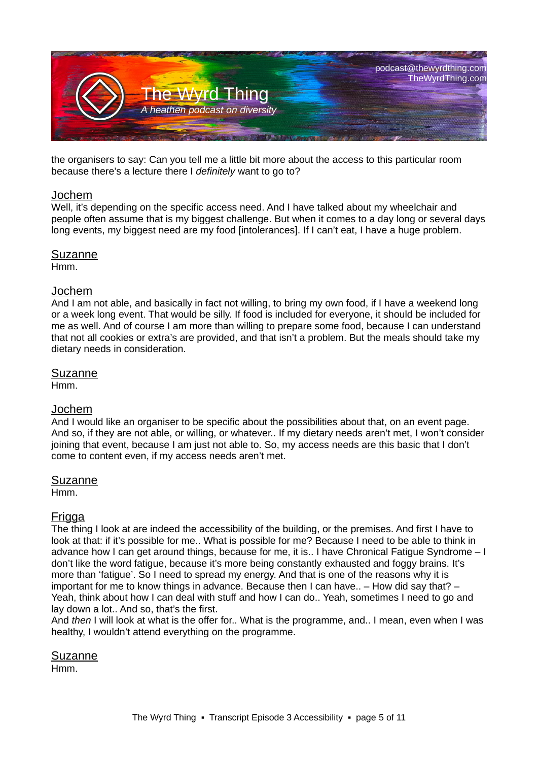

the organisers to say: Can you tell me a little bit more about the access to this particular room because there's a lecture there I *definitely* want to go to?

#### Jochem

Well, it's depending on the specific access need. And I have talked about my wheelchair and people often assume that is my biggest challenge. But when it comes to a day long or several days long events, my biggest need are my food [intolerances]. If I can't eat, I have a huge problem.

#### Suzanne

Hmm.

#### Jochem

And I am not able, and basically in fact not willing, to bring my own food, if I have a weekend long or a week long event. That would be silly. If food is included for everyone, it should be included for me as well. And of course I am more than willing to prepare some food, because I can understand that not all cookies or extra's are provided, and that isn't a problem. But the meals should take my dietary needs in consideration.

#### Suzanne

Hmm.

# Jochem

And I would like an organiser to be specific about the possibilities about that, on an event page. And so, if they are not able, or willing, or whatever.. If my dietary needs aren't met, I won't consider joining that event, because I am just not able to. So, my access needs are this basic that I don't come to content even, if my access needs aren't met.

#### Suzanne

Hmm.

# Frigga

The thing I look at are indeed the accessibility of the building, or the premises. And first I have to look at that: if it's possible for me.. What is possible for me? Because I need to be able to think in advance how I can get around things, because for me, it is.. I have Chronical Fatigue Syndrome – I don't like the word fatigue, because it's more being constantly exhausted and foggy brains. It's more than 'fatigue'. So I need to spread my energy. And that is one of the reasons why it is important for me to know things in advance. Because then I can have.. – How did say that? – Yeah, think about how I can deal with stuff and how I can do.. Yeah, sometimes I need to go and lay down a lot.. And so, that's the first.

And *then* I will look at what is the offer for.. What is the programme, and.. I mean, even when I was healthy, I wouldn't attend everything on the programme.

Suzanne Hmm.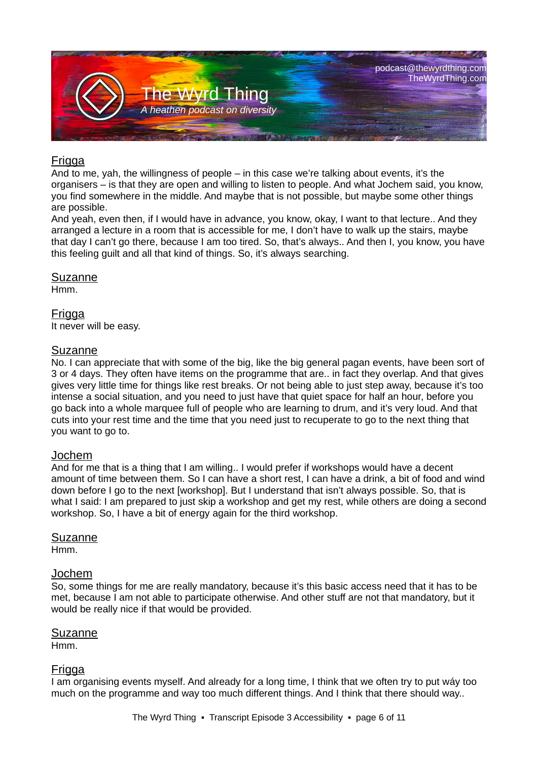

# **Frigga**

And to me, yah, the willingness of people – in this case we're talking about events, it's the organisers – is that they are open and willing to listen to people. And what Jochem said, you know, you find somewhere in the middle. And maybe that is not possible, but maybe some other things are possible.

And yeah, even then, if I would have in advance, you know, okay, I want to that lecture.. And they arranged a lecture in a room that is accessible for me, I don't have to walk up the stairs, maybe that day I can't go there, because I am too tired. So, that's always.. And then I, you know, you have this feeling guilt and all that kind of things. So, it's always searching.

#### Suzanne

Hmm.

## Frigga

It never will be easy.

## **Suzanne**

No. I can appreciate that with some of the big, like the big general pagan events, have been sort of 3 or 4 days. They often have items on the programme that are.. in fact they overlap. And that gives gives very little time for things like rest breaks. Or not being able to just step away, because it's too intense a social situation, and you need to just have that quiet space for half an hour, before you go back into a whole marquee full of people who are learning to drum, and it's very loud. And that cuts into your rest time and the time that you need just to recuperate to go to the next thing that you want to go to.

#### Jochem

And for me that is a thing that I am willing.. I would prefer if workshops would have a decent amount of time between them. So I can have a short rest, I can have a drink, a bit of food and wind down before I go to the next [workshop]. But I understand that isn't always possible. So, that is what I said: I am prepared to just skip a workshop and get my rest, while others are doing a second workshop. So, I have a bit of energy again for the third workshop.

#### Suzanne

Hmm.

#### Jochem

So, some things for me are really mandatory, because it's this basic access need that it has to be met, because I am not able to participate otherwise. And other stuff are not that mandatory, but it would be really nice if that would be provided.

#### Suzanne

Hmm.

#### Frigga

I am organising events myself. And already for a long time, I think that we often try to put wáy too much on the programme and way too much different things. And I think that there should way..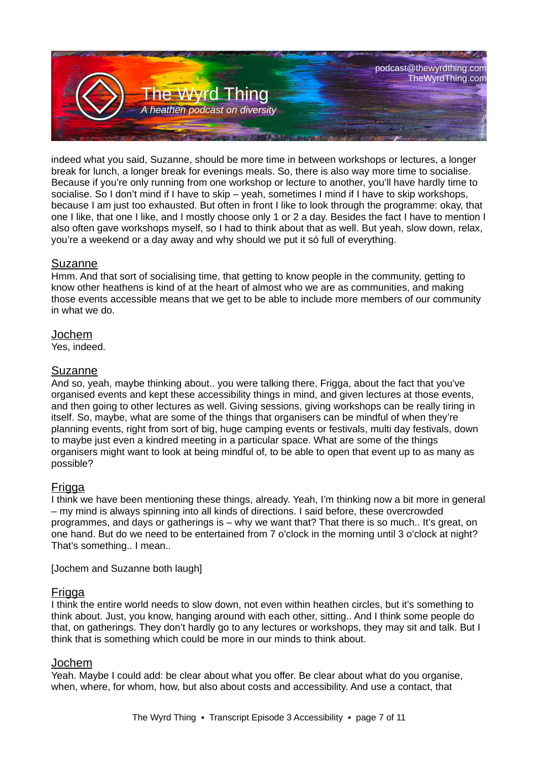

indeed what you said, Suzanne, should be more time in between workshops or lectures, a longer break for lunch, a longer break for evenings meals. So, there is also way more time to socialise. Because if you're only running from one workshop or lecture to another, you'll have hardly time to socialise. So I don't mind if I have to skip – yeah, sometimes I mind if I have to skip workshops, because I am just too exhausted. But often in front I like to look through the programme: okay, that one I like, that one I like, and I mostly choose only 1 or 2 a day. Besides the fact I have to mention I also often gave workshops myself, so I had to think about that as well. But yeah, slow down, relax, you're a weekend or a day away and why should we put it só full of everything.

## Suzanne

Hmm. And that sort of socialising time, that getting to know people in the community, getting to know other heathens is kind of at the heart of almost who we are as communities, and making those events accessible means that we get to be able to include more members of our community in what we do.

## Jochem

Yes, indeed.

## Suzanne

And so, yeah, maybe thinking about.. you were talking there, Frigga, about the fact that you've organised events and kept these accessibility things in mind, and given lectures at those events, and then going to other lectures as well. Giving sessions, giving workshops can be really tiring in itself. So, maybe, what are some of the things that organisers can be mindful of when they're planning events, right from sort of big, huge camping events or festivals, multi day festivals, down to maybe just even a kindred meeting in a particular space. What are some of the things organisers might want to look at being mindful of, to be able to open that event up to as many as possible?

# Frigga

I think we have been mentioning these things, already. Yeah, I'm thinking now a bit more in general – my mind is always spinning into all kinds of directions. I said before, these overcrowded programmes, and days or gatherings is – why we want that? That there is so much.. It's great, on one hand. But do we need to be entertained from 7 o'clock in the morning until 3 o'clock at night? That's something.. I mean..

[Jochem and Suzanne both laugh]

# **Frigga**

I think the entire world needs to slow down, not even within heathen circles, but it's something to think about. Just, you know, hanging around with each other, sitting.. And I think some people do that, on gatherings. They don't hardly go to any lectures or workshops, they may sit and talk. But I think that is something which could be more in our minds to think about.

# Jochem

Yeah. Maybe I could add: be clear about what you offer. Be clear about what do you organise, when, where, for whom, how, but also about costs and accessibility. And use a contact, that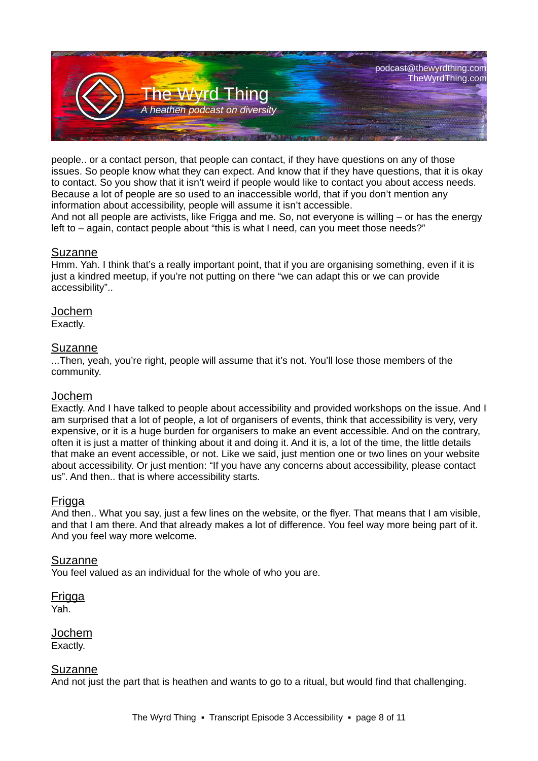

people.. or a contact person, that people can contact, if they have questions on any of those issues. So people know what they can expect. And know that if they have questions, that it is okay to contact. So you show that it isn't weird if people would like to contact you about access needs. Because a lot of people are so used to an inaccessible world, that if you don't mention any information about accessibility, people will assume it isn't accessible.

And not all people are activists, like Frigga and me. So, not everyone is willing – or has the energy left to – again, contact people about "this is what I need, can you meet those needs?"

#### Suzanne

Hmm. Yah. I think that's a really important point, that if you are organising something, even if it is just a kindred meetup, if you're not putting on there "we can adapt this or we can provide accessibility"..

## Jochem

Exactly.

#### Suzanne

...Then, yeah, you're right, people will assume that it's not. You'll lose those members of the community.

# Jochem

Exactly. And I have talked to people about accessibility and provided workshops on the issue. And I am surprised that a lot of people, a lot of organisers of events, think that accessibility is very, very expensive, or it is a huge burden for organisers to make an event accessible. And on the contrary, often it is just a matter of thinking about it and doing it. And it is, a lot of the time, the little details that make an event accessible, or not. Like we said, just mention one or two lines on your website about accessibility. Or just mention: "If you have any concerns about accessibility, please contact us". And then.. that is where accessibility starts.

# Frigga

And then.. What you say, just a few lines on the website, or the flyer. That means that I am visible, and that I am there. And that already makes a lot of difference. You feel way more being part of it. And you feel way more welcome.

#### Suzanne

You feel valued as an individual for the whole of who you are.

**Frigga** Yah.

Jochem Exactly.

#### Suzanne

And not just the part that is heathen and wants to go to a ritual, but would find that challenging.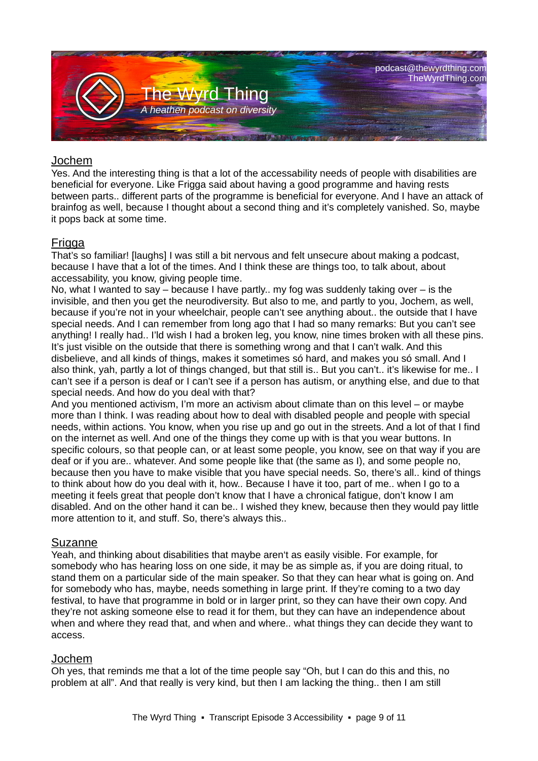

## Jochem

Yes. And the interesting thing is that a lot of the accessability needs of people with disabilities are beneficial for everyone. Like Frigga said about having a good programme and having rests between parts.. different parts of the programme is beneficial for everyone. And I have an attack of brainfog as well, because I thought about a second thing and it's completely vanished. So, maybe it pops back at some time.

## Frigga

That's so familiar! [laughs] I was still a bit nervous and felt unsecure about making a podcast, because I have that a lot of the times. And I think these are things too, to talk about, about accessability, you know, giving people time.

No, what I wanted to say – because I have partly.. my fog was suddenly taking over – is the invisible, and then you get the neurodiversity. But also to me, and partly to you, Jochem, as well, because if you're not in your wheelchair, people can't see anything about.. the outside that I have special needs. And I can remember from long ago that I had so many remarks: But you can't see anything! I really had.. I'ld wish I had a broken leg, you know, nine times broken with all these pins. It's just visible on the outside that there is something wrong and that I can't walk. And this disbelieve, and all kinds of things, makes it sometimes só hard, and makes you só small. And I also think, yah, partly a lot of things changed, but that still is.. But you can't.. it's likewise for me.. I can't see if a person is deaf or I can't see if a person has autism, or anything else, and due to that special needs. And how do you deal with that?

And you mentioned activism, I'm more an activism about climate than on this level – or maybe more than I think. I was reading about how to deal with disabled people and people with special needs, within actions. You know, when you rise up and go out in the streets. And a lot of that I find on the internet as well. And one of the things they come up with is that you wear buttons. In specific colours, so that people can, or at least some people, you know, see on that way if you are deaf or if you are.. whatever. And some people like that (the same as I), and some people no, because then you have to make visible that you have special needs. So, there's all.. kind of things to think about how do you deal with it, how.. Because I have it too, part of me.. when I go to a meeting it feels great that people don't know that I have a chronical fatigue, don't know I am disabled. And on the other hand it can be.. I wished they knew, because then they would pay little more attention to it, and stuff. So, there's always this..

#### Suzanne

Yeah, and thinking about disabilities that maybe aren't as easily visible. For example, for somebody who has hearing loss on one side, it may be as simple as, if you are doing ritual, to stand them on a particular side of the main speaker. So that they can hear what is going on. And for somebody who has, maybe, needs something in large print. If they're coming to a two day festival, to have that programme in bold or in larger print, so they can have their own copy. And they're not asking someone else to read it for them, but they can have an independence about when and where they read that, and when and where.. what things they can decide they want to access.

# Jochem

Oh yes, that reminds me that a lot of the time people say "Oh, but I can do this and this, no problem at all". And that really is very kind, but then I am lacking the thing.. then I am still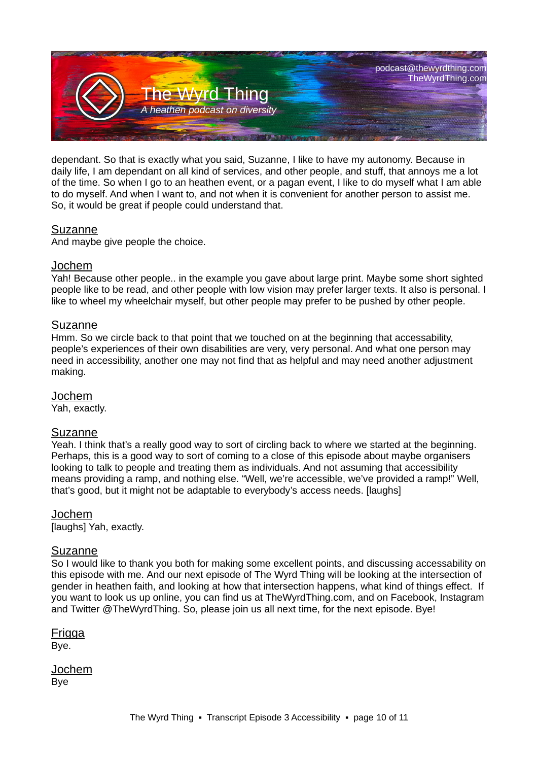

dependant. So that is exactly what you said, Suzanne, I like to have my autonomy. Because in daily life, I am dependant on all kind of services, and other people, and stuff, that annoys me a lot of the time. So when I go to an heathen event, or a pagan event, I like to do myself what I am able to do myself. And when I want to, and not when it is convenient for another person to assist me. So, it would be great if people could understand that.

## Suzanne

And maybe give people the choice.

#### Jochem

Yah! Because other people.. in the example you gave about large print. Maybe some short sighted people like to be read, and other people with low vision may prefer larger texts. It also is personal. I like to wheel my wheelchair myself, but other people may prefer to be pushed by other people.

#### **Suzanne**

Hmm. So we circle back to that point that we touched on at the beginning that accessability, people's experiences of their own disabilities are very, very personal. And what one person may need in accessibility, another one may not find that as helpful and may need another adjustment making.

# Jochem

Yah, exactly.

# Suzanne

Yeah. I think that's a really good way to sort of circling back to where we started at the beginning. Perhaps, this is a good way to sort of coming to a close of this episode about maybe organisers looking to talk to people and treating them as individuals. And not assuming that accessibility means providing a ramp, and nothing else. "Well, we're accessible, we've provided a ramp!" Well, that's good, but it might not be adaptable to everybody's access needs. [laughs]

Jochem [laughs] Yah, exactly.

#### Suzanne

So I would like to thank you both for making some excellent points, and discussing accessability on this episode with me. And our next episode of The Wyrd Thing will be looking at the intersection of gender in heathen faith, and looking at how that intersection happens, what kind of things effect. If you want to look us up online, you can find us at TheWyrdThing.com, and on Facebook, Instagram and Twitter @TheWyrdThing. So, please join us all next time, for the next episode. Bye!

Frigga Bye.

Jochem Bye